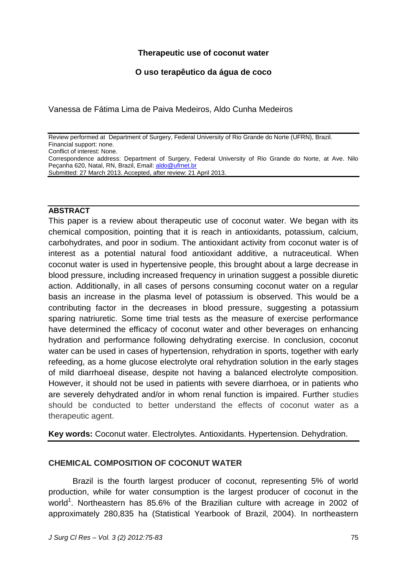## **Therapeutic use of coconut water**

## **O uso terapêutico da água de coco**

Vanessa de Fátima Lima de Paiva Medeiros, Aldo Cunha Medeiros

Review performed at Department of Surgery, Federal University of Rio Grande do Norte (UFRN), Brazil. Financial support: none. Conflict of interest: None.

Correspondence address: Department of Surgery, Federal University of Rio Grande do Norte, at Ave. Nilo Peçanha 620, Natal, RN, Brazil, Email: [aldo@ufrnet.br](mailto:aldo@ufrnet.br) Submitted: 27 March 2013. Accepted, after review: 21 April 2013.

### **ABSTRACT**

This paper is a review about therapeutic use of coconut water. We began with its chemical composition, pointing that it is reach in antioxidants, potassium, calcium, carbohydrates, and poor in sodium. The antioxidant activity from coconut water is of interest as a potential natural food antioxidant additive, a nutraceutical. When coconut water is used in hypertensive people, this brought about a large decrease in blood pressure, including increased frequency in urination suggest a possible diuretic action. Additionally, in all cases of persons consuming coconut water on a regular basis an increase in the plasma level of potassium is observed. This would be a contributing factor in the decreases in blood pressure, suggesting a potassium sparing natriuretic. Some time trial tests as the measure of exercise performance have determined the efficacy of coconut water and other beverages on enhancing hydration and performance following dehydrating exercise. In conclusion, coconut water can be used in cases of hypertension, rehydration in sports, together with early refeeding, as a home glucose electrolyte oral rehydration solution in the early stages of mild diarrhoeal disease, despite not having a balanced electrolyte composition. However, it should not be used in patients with severe diarrhoea, or in patients who are severely dehydrated and/or in whom renal function is impaired. Further studies should be conducted to better understand the effects of coconut water as a therapeutic agent.

**Key words:** Coconut water. Electrolytes. Antioxidants. Hypertension. Dehydration.

## **CHEMICAL COMPOSITION OF COCONUT WATER**

Brazil is the fourth largest producer of coconut, representing 5% of world production, while for water consumption is the largest producer of coconut in the world<sup>1</sup>. Northeastern has 85.6% of the Brazilian culture with acreage in 2002 of approximately 280,835 ha (Statistical Yearbook of Brazil, 2004). In northeastern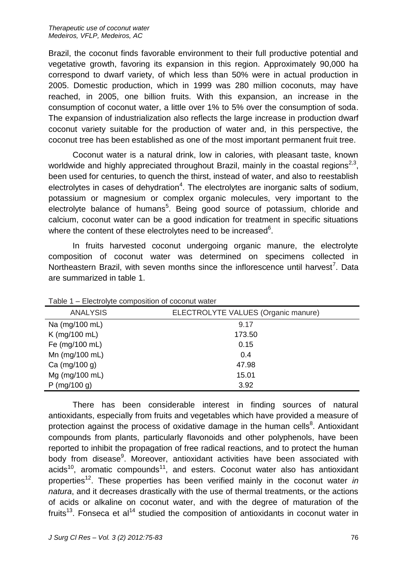Brazil, the coconut finds favorable environment to their full productive potential and vegetative growth, favoring its expansion in this region. Approximately 90,000 ha correspond to dwarf variety, of which less than 50% were in actual production in 2005. Domestic production, which in 1999 was 280 million coconuts, may have reached, in 2005, one billion fruits. With this expansion, an increase in the consumption of coconut water, a little over 1% to 5% over the consumption of soda. The expansion of industrialization also reflects the large increase in production dwarf coconut variety suitable for the production of water and, in this perspective, the coconut tree has been established as one of the most important permanent fruit tree.

Coconut water is a natural drink, low in calories, with pleasant taste, known worldwide and highly appreciated throughout Brazil, mainly in the coastal regions<sup>2,3</sup>, been used for centuries, to quench the thirst, instead of water, and also to reestablish electrolytes in cases of dehydration<sup>4</sup>. The electrolytes are inorganic salts of sodium, potassium or magnesium or complex organic molecules, very important to the electrolyte balance of humans<sup>5</sup>. Being good source of potassium, chloride and calcium, coconut water can be a good indication for treatment in specific situations where the content of these electrolytes need to be increased $^6$ .

In fruits harvested coconut undergoing organic manure, the electrolyte composition of coconut water was determined on specimens collected in Northeastern Brazil, with seven months since the inflorescence until harvest<sup>7</sup>. Data are summarized in table 1.

| rapid in Elbotrolyto composition or cocontat mator |                                     |
|----------------------------------------------------|-------------------------------------|
| <b>ANALYSIS</b>                                    | ELECTROLYTE VALUES (Organic manure) |
| Na (mg/100 mL)                                     | 9.17                                |
| K (mg/100 mL)                                      | 173.50                              |
| Fe (mg/100 mL)                                     | 0.15                                |
| Mn (mg/100 mL)                                     | 0.4                                 |
| Ca (mg/100 g)                                      | 47.98                               |
| Mg (mg/100 mL)                                     | 15.01                               |
| P (mg/100 g)                                       | 3.92                                |

Table 1 – Electrolyte composition of coconut water

There has been considerable interest in finding sources of natural antioxidants, especially from fruits and vegetables which have provided a measure of protection against the process of oxidative damage in the human cells $8$ . Antioxidant compounds from plants, particularly flavonoids and other polyphenols, have been reported to inhibit the propagation of free radical reactions, and to protect the human body from disease<sup>9</sup>. Moreover, antioxidant activities have been associated with  $acids<sup>10</sup>$ , aromatic compounds<sup>11</sup>, and esters. Coconut water also has antioxidant properties<sup>12</sup>. These properties has been verified mainly in the coconut water *in natura*, and it decreases drastically with the use of thermal treatments, or the actions of acids or alkaline on coconut water, and with the degree of maturation of the fruits<sup>13</sup>. Fonseca et al<sup>14</sup> studied the composition of antioxidants in coconut water in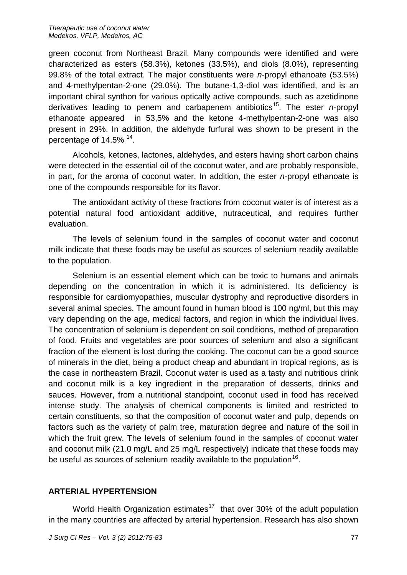green coconut from Northeast Brazil. Many compounds were identified and were characterized as esters (58.3%), ketones (33.5%), and diols (8.0%), representing 99.8% of the total extract. The major constituents were *n*-propyl ethanoate (53.5%) and 4-methylpentan-2-one (29.0%). The butane-1,3-diol was identified, and is an important chiral synthon for various optically active compounds, such as azetidinone derivatives leading to penem and carbapenem antibiotics<sup>15</sup>. The ester *n*-propyl ethanoate appeared in 53,5% and the ketone 4-methylpentan-2-one was also present in 29%. In addition, the aldehyde furfural was shown to be present in the percentage of 14.5% <sup>14</sup>.

Alcohols, ketones, lactones, aldehydes, and esters having short carbon chains were detected in the essential oil of the coconut water, and are probably responsible, in part, for the aroma of coconut water. In addition, the ester *n*-propyl ethanoate is one of the compounds responsible for its flavor.

The antioxidant activity of these fractions from coconut water is of interest as a potential natural food antioxidant additive, nutraceutical, and requires further evaluation.

The levels of selenium found in the samples of coconut water and coconut milk indicate that these foods may be useful as sources of selenium readily available to the population.

Selenium is an essential element which can be toxic to humans and animals depending on the concentration in which it is administered. Its deficiency is responsible for cardiomyopathies, muscular dystrophy and reproductive disorders in several animal species. The amount found in human blood is 100 ng/ml, but this may vary depending on the age, medical factors, and region in which the individual lives. The concentration of selenium is dependent on soil conditions, method of preparation of food. Fruits and vegetables are poor sources of selenium and also a significant fraction of the element is lost during the cooking. The coconut can be a good source of minerals in the diet, being a product cheap and abundant in tropical regions, as is the case in northeastern Brazil. Coconut water is used as a tasty and nutritious drink and coconut milk is a key ingredient in the preparation of desserts, drinks and sauces. However, from a nutritional standpoint, coconut used in food has received intense study. The analysis of chemical components is limited and restricted to certain constituents, so that the composition of coconut water and pulp, depends on factors such as the variety of palm tree, maturation degree and nature of the soil in which the fruit grew. The levels of selenium found in the samples of coconut water and coconut milk (21.0 mg/L and 25 mg/L respectively) indicate that these foods may be useful as sources of selenium readily available to the population<sup>16</sup>.

# **ARTERIAL HYPERTENSION**

World Health Organization estimates<sup>17</sup> that over 30% of the adult population in the many countries are affected by arterial hypertension. Research has also shown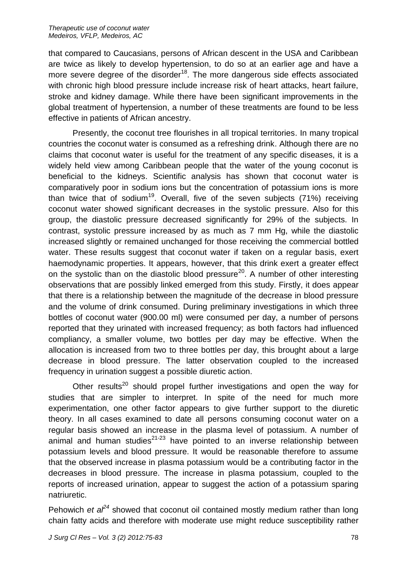that compared to Caucasians, persons of African descent in the USA and Caribbean are twice as likely to develop hypertension, to do so at an earlier age and have a more severe degree of the disorder $18$ . The more dangerous side effects associated with chronic high blood pressure include increase risk of heart attacks, heart failure, stroke and kidney damage. While there have been significant improvements in the global treatment of hypertension, a number of these treatments are found to be less effective in patients of African ancestry.

Presently, the coconut tree flourishes in all tropical territories. In many tropical countries the coconut water is consumed as a refreshing drink. Although there are no claims that coconut water is useful for the treatment of any specific diseases, it is a widely held view among Caribbean people that the water of the young coconut is beneficial to the kidneys. Scientific analysis has shown that coconut water is comparatively poor in sodium ions but the concentration of potassium ions is more than twice that of sodium<sup>19</sup>. Overall, five of the seven subjects (71%) receiving coconut water showed significant decreases in the systolic pressure. Also for this group, the diastolic pressure decreased significantly for 29% of the subjects. In contrast, systolic pressure increased by as much as 7 mm Hg, while the diastolic increased slightly or remained unchanged for those receiving the commercial bottled water. These results suggest that coconut water if taken on a regular basis, exert haemodynamic properties. It appears, however, that this drink exert a greater effect on the systolic than on the diastolic blood pressure<sup>20</sup>. A number of other interesting observations that are possibly linked emerged from this study. Firstly, it does appear that there is a relationship between the magnitude of the decrease in blood pressure and the volume of drink consumed. During preliminary investigations in which three bottles of coconut water (900.00 ml) were consumed per day, a number of persons reported that they urinated with increased frequency; as both factors had influenced compliancy, a smaller volume, two bottles per day may be effective. When the allocation is increased from two to three bottles per day, this brought about a large decrease in blood pressure. The latter observation coupled to the increased frequency in urination suggest a possible diuretic action.

Other results<sup>20</sup> should propel further investigations and open the way for studies that are simpler to interpret. In spite of the need for much more experimentation, one other factor appears to give further support to the diuretic theory. In all cases examined to date all persons consuming coconut water on a regular basis showed an increase in the plasma level of potassium. A number of animal and human studies $21-23$  have pointed to an inverse relationship between potassium levels and blood pressure. It would be reasonable therefore to assume that the observed increase in plasma potassium would be a contributing factor in the decreases in blood pressure. The increase in plasma potassium, coupled to the reports of increased urination, appear to suggest the action of a potassium sparing natriuretic.

Pehowich *et al*<sup> $24$ </sup> showed that coconut oil contained mostly medium rather than long chain fatty acids and therefore with moderate use might reduce susceptibility rather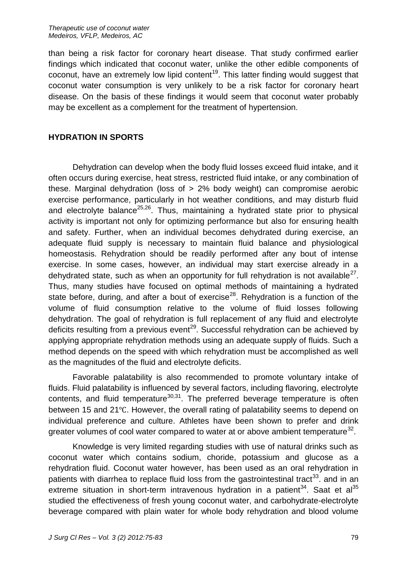*Therapeutic use of coconut water Medeiros, VFLP, Medeiros, AC*

than being a risk factor for coronary heart disease. That study confirmed earlier findings which indicated that coconut water, unlike the other edible components of coconut, have an extremely low lipid content<sup>19</sup>. This latter finding would suggest that coconut water consumption is very unlikely to be a risk factor for coronary heart disease. On the basis of these findings it would seem that coconut water probably may be excellent as a complement for the treatment of hypertension.

### **HYDRATION IN SPORTS**

Dehydration can develop when the body fluid losses exceed fluid intake, and it often occurs during exercise, heat stress, restricted fluid intake, or any combination of these. Marginal dehydration (loss of > 2% body weight) can compromise aerobic exercise performance, particularly in hot weather conditions, and may disturb fluid and electrolyte balance<sup>25,26</sup>. Thus, maintaining a hydrated state prior to physical activity is important not only for optimizing performance but also for ensuring health and safety. Further, when an individual becomes dehydrated during exercise, an adequate fluid supply is necessary to maintain fluid balance and physiological homeostasis. Rehydration should be readily performed after any bout of intense exercise. In some cases, however, an individual may start exercise already in a dehydrated state, such as when an opportunity for full rehydration is not available<sup>27</sup>. Thus, many studies have focused on optimal methods of maintaining a hydrated state before, during, and after a bout of exercise<sup>28</sup>. Rehydration is a function of the volume of fluid consumption relative to the volume of fluid losses following dehydration. The goal of rehydration is full replacement of any fluid and electrolyte deficits resulting from a previous event<sup>29</sup>. Successful rehydration can be achieved by applying appropriate rehydration methods using an adequate supply of fluids. Such a method depends on the speed with which rehydration must be accomplished as well as the magnitudes of the fluid and electrolyte deficits.

Favorable palatability is also recommended to promote voluntary intake of fluids. Fluid palatability is influenced by several factors, including flavoring, electrolyte contents, and fluid temperature $30,31$ . The preferred beverage temperature is often between 15 and 21℃. However, the overall rating of palatability seems to depend on individual preference and culture. Athletes have been shown to prefer and drink greater volumes of cool water compared to water at or above ambient temperature<sup>32</sup>.

Knowledge is very limited regarding studies with use of natural drinks such as coconut water which contains sodium, choride, potassium and glucose as a rehydration fluid. Coconut water however, has been used as an oral rehydration in patients with diarrhea to replace fluid loss from the gastrointestinal tract<sup>33</sup>. and in an extreme situation in short-term intravenous hydration in a patient<sup>34</sup>. Saat et al<sup>35</sup> studied the effectiveness of fresh young coconut water, and carbohydrate-electrolyte beverage compared with plain water for whole body rehydration and blood volume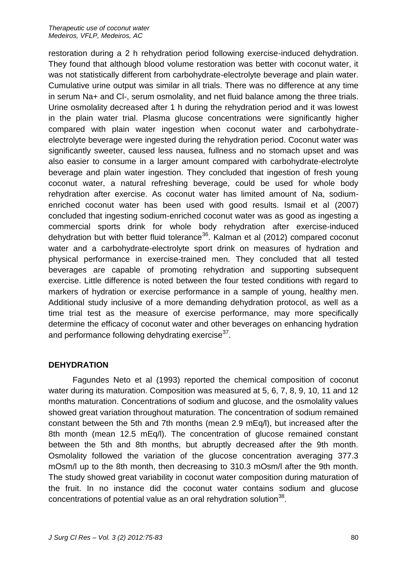restoration during a 2 h rehydration period following exercise-induced dehydration. They found that although blood volume restoration was better with coconut water, it was not statistically different from carbohydrate-electrolyte beverage and plain water. Cumulative urine output was similar in all trials. There was no difference at any time in serum Na+ and Cl-, serum osmolality, and net fluid balance among the three trials. Urine osmolality decreased after 1 h during the rehydration period and it was lowest in the plain water trial. Plasma glucose concentrations were significantly higher compared with plain water ingestion when coconut water and carbohydrateelectrolyte beverage were ingested during the rehydration period. Coconut water was significantly sweeter, caused less nausea, fullness and no stomach upset and was also easier to consume in a larger amount compared with carbohydrate-electrolyte beverage and plain water ingestion. They concluded that ingestion of fresh young coconut water, a natural refreshing beverage, could be used for whole body rehydration after exercise. As coconut water has limited amount of Na, sodiumenriched coconut water has been used with good results. Ismail et al (2007) concluded that ingesting sodium-enriched coconut water was as good as ingesting a commercial sports drink for whole body rehydration after exercise-induced dehydration but with better fluid tolerance<sup>36</sup>. Kalman et al (2012) compared coconut water and a carbohydrate-electrolyte sport drink on measures of hydration and physical performance in exercise-trained men. They concluded that all tested beverages are capable of promoting rehydration and supporting subsequent exercise. Little difference is noted between the four tested conditions with regard to markers of hydration or exercise performance in a sample of young, healthy men. Additional study inclusive of a more demanding dehydration protocol, as well as a time trial test as the measure of exercise performance, may more specifically determine the efficacy of coconut water and other beverages on enhancing hydration and performance following dehydrating exercise $^{37}$ .

## **DEHYDRATION**

Fagundes Neto et al (1993) reported the chemical composition of coconut water during its maturation. Composition was measured at 5, 6, 7, 8, 9, 10, 11 and 12 months maturation. Concentrations of sodium and glucose, and the osmolality values showed great variation throughout maturation. The concentration of sodium remained constant between the 5th and 7th months (mean 2.9 mEq/l), but increased after the 8th month (mean 12.5 mEq/l). The concentration of glucose remained constant between the 5th and 8th months, but abruptly decreased after the 9th month. Osmolality followed the variation of the glucose concentration averaging 377.3 mOsm/l up to the 8th month, then decreasing to 310.3 mOsm/l after the 9th month. The study showed great variability in coconut water composition during maturation of the fruit. In no instance did the coconut water contains sodium and glucose concentrations of potential value as an oral rehydration solution $^{38}$ .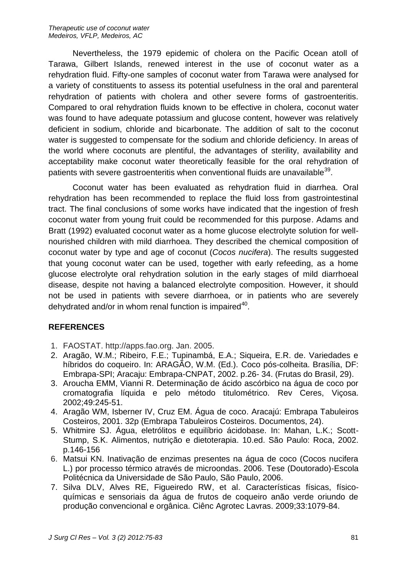Nevertheless, the 1979 epidemic of cholera on the Pacific Ocean atoll of Tarawa, Gilbert Islands, renewed interest in the use of coconut water as a rehydration fluid. Fifty-one samples of coconut water from Tarawa were analysed for a variety of constituents to assess its potential usefulness in the oral and parenteral rehydration of patients with cholera and other severe forms of gastroenteritis. Compared to oral rehydration fluids known to be effective in cholera, coconut water was found to have adequate potassium and glucose content, however was relatively deficient in sodium, chloride and bicarbonate. The addition of salt to the coconut water is suggested to compensate for the sodium and chloride deficiency. In areas of the world where coconuts are plentiful, the advantages of sterility, availability and acceptability make coconut water theoretically feasible for the oral rehydration of patients with severe gastroenteritis when conventional fluids are unavailable $^{39}$ .

Coconut water has been evaluated as rehydration fluid in diarrhea. Oral rehydration has been recommended to replace the fluid loss from gastrointestinal tract. The final conclusions of some works have indicated that the ingestion of fresh coconut water from young fruit could be recommended for this purpose. Adams and Bratt (1992) evaluated coconut water as a home glucose electrolyte solution for wellnourished children with mild diarrhoea. They described the chemical composition of coconut water by type and age of coconut (*Cocos nucifera*). The results suggested that young coconut water can be used, together with early refeeding, as a home glucose electrolyte oral rehydration solution in the early stages of mild diarrhoeal disease, despite not having a balanced electrolyte composition. However, it should not be used in patients with severe diarrhoea, or in patients who are severely dehydrated and/or in whom renal function is impaired $^{40}$ .

# **REFERENCES**

- 1. FAOSTAT. http://apps.fao.org. Jan. 2005.
- 2. Aragão, W.M.; Ribeiro, F.E.; Tupinambá, E.A.; Siqueira, E.R. de. Variedades e híbridos do coqueiro. In: ARAGÃO, W.M. (Ed.). Coco pós-colheita. Brasília, DF: Embrapa-SPI; Aracaju: Embrapa-CNPAT, 2002. p.26- 34. (Frutas do Brasil, 29).
- 3. Aroucha EMM, Vianni R. Determinação de ácido ascórbico na água de coco por cromatografia líquida e pelo método titulométrico. Rev Ceres, Viçosa. 2002;49:245-51.
- 4. Aragão WM, Isberner IV, Cruz EM. Água de coco. Aracajú: Embrapa Tabuleiros Costeiros, 2001. 32p (Embrapa Tabuleiros Costeiros. Documentos, 24).
- 5. Whitmire SJ. Água, eletrólitos e equilíbrio ácidobase. In: Mahan, L.K.; Scott-Stump, S.K. Alimentos, nutrição e dietoterapia. 10.ed. São Paulo: Roca, 2002. p.146-156
- 6. Matsui KN. Inativação de enzimas presentes na água de coco (Cocos nucifera L.) por processo térmico através de microondas. 2006. Tese (Doutorado)-Escola Politécnica da Universidade de São Paulo, São Paulo, 2006.
- 7. Silva DLV, Alves RE, Figueiredo RW, et al. Características físicas, físicoquímicas e sensoriais da água de frutos de coqueiro anão verde oriundo de produção convencional e orgânica. Ciênc Agrotec Lavras. 2009;33:1079-84.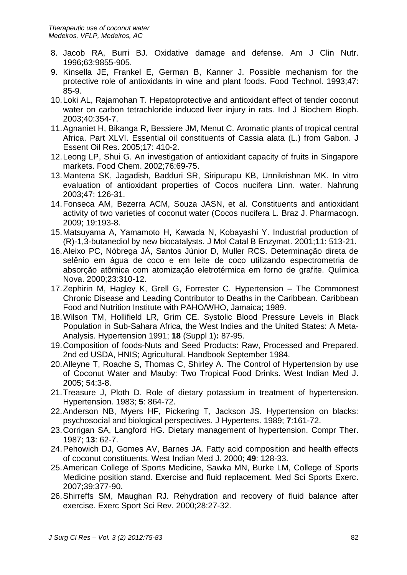- 8. Jacob RA, Burri BJ. Oxidative damage and defense. Am J Clin Nutr. 1996;63:9855-905.
- 9. Kinsella JE, Frankel E, German B, Kanner J. Possible mechanism for the protective role of antioxidants in wine and plant foods. Food Technol. 1993;47: 85-9.
- 10.Loki AL, Rajamohan T. Hepatoprotective and antioxidant effect of tender coconut water on carbon tetrachloride induced liver injury in rats. Ind J Biochem Bioph. 2003;40:354-7.
- 11.Agnaniet H, Bikanga R, Bessiere JM, Menut C. Aromatic plants of tropical central Africa. Part XLVI. Essential oil constituents of Cassia alata (L.) from Gabon. J Essent Oil Res. 2005;17: 410-2.
- 12.Leong LP, Shui G. An investigation of antioxidant capacity of fruits in Singapore markets. Food Chem. 2002;76:69-75.
- 13.Mantena SK, Jagadish, Badduri SR, Siripurapu KB, Unnikrishnan MK. In vitro evaluation of antioxidant properties of Cocos nucifera Linn. water. Nahrung 2003;47: 126-31.
- 14.Fonseca AM, Bezerra ACM, Souza JASN, et al. Constituents and antioxidant activity of two varieties of coconut water (Cocos nucifera L. Braz J. Pharmacogn. 2009; 19:193-8.
- 15.Matsuyama A, Yamamoto H, Kawada N, Kobayashi Y. Industrial production of (R)-1,3-butanediol by new biocatalysts. J Mol Catal B Enzymat. 2001;11: 513-21.
- 16.Aleixo PC, Nóbrega JÁ, Santos Júnior D, Muller RCS. Determinação direta de selênio em água de coco e em leite de coco utilizando espectrometria de absorção atômica com atomização eletrotérmica em forno de grafite. Química Nova. 2000;23:310-12.
- 17.Zephirin M, Hagley K, Grell G, Forrester C. Hypertension The Commonest Chronic Disease and Leading Contributor to Deaths in the Caribbean. Caribbean Food and Nutrition Institute with PAHO/WHO, Jamaica; 1989.
- 18.Wilson TM, Hollifield LR, Grim CE. Systolic Blood Pressure Levels in Black Population in Sub-Sahara Africa, the West Indies and the United States: A Meta-Analysis. Hypertension 1991; **18** (Suppl 1)**:** 87-95.
- 19.Composition of foods-Nuts and Seed Products: Raw, Processed and Prepared. 2nd ed USDA, HNIS; Agricultural. Handbook September 1984.
- 20.Alleyne T, Roache S, Thomas C, Shirley A. The Control of Hypertension by use of Coconut Water and Mauby: Two Tropical Food Drinks. West Indian Med J. 2005; 54:3-8.
- 21.Treasure J, Ploth D. Role of dietary potassium in treatment of hypertension. Hypertension. 1983; **5**: 864-72.
- 22.Anderson NB, Myers HF, Pickering T, Jackson JS. Hypertension on blacks: psychosocial and biological perspectives. J Hypertens. 1989; **7**:161-72.
- 23.Corrigan SA, Langford HG. Dietary management of hypertension. Compr Ther. 1987; **13**: 62-7.
- 24.Pehowich DJ, Gomes AV, Barnes JA. Fatty acid composition and health effects of coconut constituents. West Indian Med J. 2000; **49**: 128-33.
- 25.American College of Sports Medicine, Sawka MN, Burke LM, College of Sports Medicine position stand. Exercise and fluid replacement. Med Sci Sports Exerc. 2007;39:377-90.
- 26.Shirreffs SM, Maughan RJ. Rehydration and recovery of fluid balance after exercise. Exerc Sport Sci Rev. 2000;28:27-32.